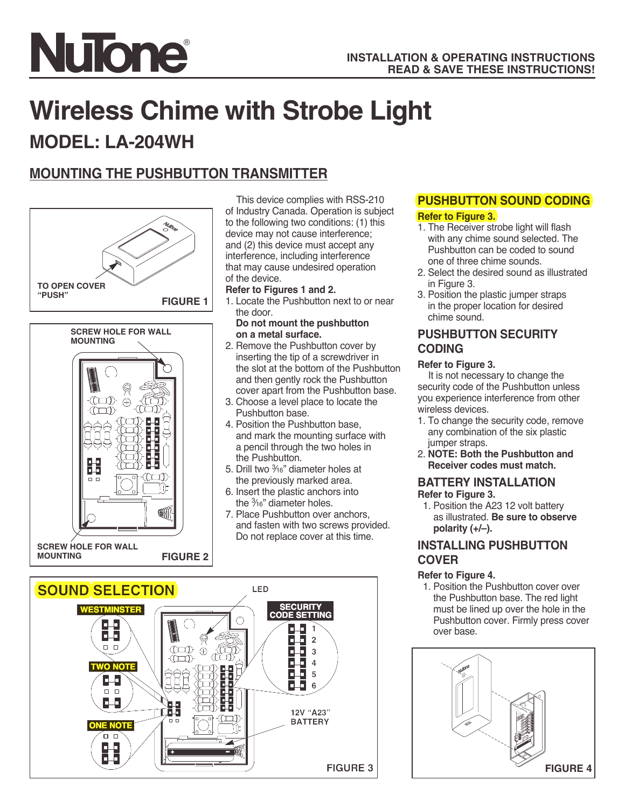

# **Wireless Chime with Strobe Light**

# **MODEL: LA-204WH**

## **MOUNTING THE PUSHBUTTON TRANSMITTER**



#### This device complies with RSS-210 of Industry Canada. Operation is subject to the following two conditions: (1) this device may not cause interference; and (2) this device must accept any interference, including interference

that may cause undesired operation of the device.

#### **Refer to Figures 1 and 2.**

1. Locate the Pushbutton next to or near the door.

#### **Do not mount the pushbutton on a metal surface.**

- 2. Remove the Pushbutton cover by inserting the tip of a screwdriver in the slot at the bottom of the Pushbutton and then gently rock the Pushbutton cover apart from the Pushbutton base.
- 3. Choose a level place to locate the Pushbutton base.
- 4. Position the Pushbutton base, and mark the mounting surface with a pencil through the two holes in the Pushbutton.
- 5. Drill two  $\frac{3}{16}$ " diameter holes at the previously marked area.
- 6. Insert the plastic anchors into the  $\frac{3}{16}$ " diameter holes.
- 7. Place Pushbutton over anchors, and fasten with two screws provided. Do not replace cover at this time.



# **PUSHBUTTON SOUND CODING**

#### **Referto Figure 3.**

- 1. The Receiver strobe light will flash with any chime sound selected. The Pushbutton can be coded to sound one of three chime sounds.
- 2. Select the desired sound as illustrated in Figure 3.
- 3. Position the plastic jumper straps in the proper location for desired chime sound.

#### **PUSHBUTTON SECURITY CODING**

#### **Refer to Figure 3.**

It is not necessary to change the security code of the Pushbutton unless you experience interference from other wireless devices.

- 1. To change the security code, remove any combination of the six plastic jumper straps.
- 2. **NOTE: Both the Pushbutton and Receiver codes must match.**

#### **BATTERY INSTALLATION Refer to Figure 3.**

1. Position the A23 12 volt battery as illustrated. **Be sure to observe polarity (+/–).**

#### **INSTALLING PUSHBUTTON COVER**

#### **Refer to Figure 4.**

1. Position the Pushbutton cover over the Pushbutton base. The red light must be lined up over the hole in the Pushbutton cover. Firmly press cover over base.